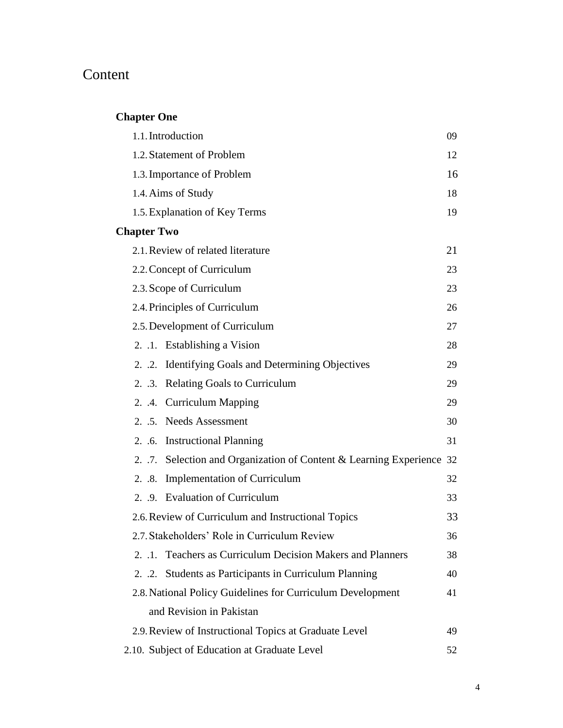## Content

## **Chapter One**

| 1.1. Introduction                                                     | 09 |
|-----------------------------------------------------------------------|----|
| 1.2. Statement of Problem                                             | 12 |
| 1.3. Importance of Problem                                            | 16 |
| 1.4. Aims of Study                                                    | 18 |
| 1.5. Explanation of Key Terms                                         | 19 |
| <b>Chapter Two</b>                                                    |    |
| 2.1. Review of related literature                                     | 21 |
| 2.2. Concept of Curriculum                                            | 23 |
| 2.3. Scope of Curriculum                                              | 23 |
| 2.4. Principles of Curriculum                                         | 26 |
| 2.5. Development of Curriculum                                        | 27 |
| 2. .1. Establishing a Vision                                          | 28 |
| 2. .2. Identifying Goals and Determining Objectives                   | 29 |
| 2. .3. Relating Goals to Curriculum                                   | 29 |
| 2. .4. Curriculum Mapping                                             | 29 |
| 2. .5. Needs Assessment                                               | 30 |
| 2. .6. Instructional Planning                                         | 31 |
| 2. .7. Selection and Organization of Content & Learning Experience 32 |    |
| <b>Implementation of Curriculum</b><br>2.3.                           | 32 |
| 2. .9. Evaluation of Curriculum                                       | 33 |
| 2.6. Review of Curriculum and Instructional Topics                    | 33 |
| 2.7. Stakeholders' Role in Curriculum Review                          | 36 |
| 2. .1. Teachers as Curriculum Decision Makers and Planners            | 38 |
| Students as Participants in Curriculum Planning<br>$2. \t .2.$        | 40 |
| 2.8. National Policy Guidelines for Curriculum Development            | 41 |
| and Revision in Pakistan                                              |    |
| 2.9. Review of Instructional Topics at Graduate Level                 | 49 |
| 2.10. Subject of Education at Graduate Level                          | 52 |